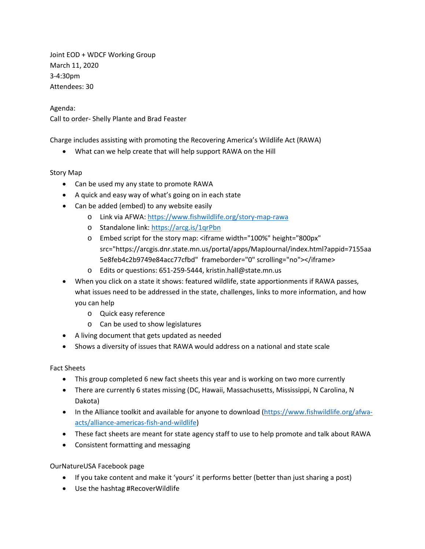Joint EOD + WDCF Working Group March 11, 2020 3-4:30pm Attendees: 30

Agenda:

Call to order- Shelly Plante and Brad Feaster

Charge includes assisting with promoting the Recovering America's Wildlife Act (RAWA)

• What can we help create that will help support RAWA on the Hill

## Story Map

- Can be used my any state to promote RAWA
- A quick and easy way of what's going on in each state
- Can be added (embed) to any website easily
	- o Link via AFWA[: https://www.fishwildlife.org/story-map-rawa](https://www.fishwildlife.org/story-map-rawa)
	- o Standalone link:<https://arcg.is/1qrPbn>
	- o Embed script for the story map: <iframe width="100%" height="800px" src="https://arcgis.dnr.state.mn.us/portal/apps/MapJournal/index.html?appid=7155aa 5e8feb4c2b9749e84acc77cfbd" frameborder="0" scrolling="no"></iframe>
	- o Edits or questions: 651-259-5444, kristin.hall@state.mn.us
- When you click on a state it shows: featured wildlife, state apportionments if RAWA passes, what issues need to be addressed in the state, challenges, links to more information, and how you can help
	- o Quick easy reference
	- o Can be used to show legislatures
- A living document that gets updated as needed
- Shows a diversity of issues that RAWA would address on a national and state scale

## Fact Sheets

- This group completed 6 new fact sheets this year and is working on two more currently
- There are currently 6 states missing (DC, Hawaii, Massachusetts, Mississippi, N Carolina, N Dakota)
- In the Alliance toolkit and available for anyone to download [\(https://www.fishwildlife.org/afwa](https://www.fishwildlife.org/afwa-acts/alliance-americas-fish-and-wildlife)[acts/alliance-americas-fish-and-wildlife\)](https://www.fishwildlife.org/afwa-acts/alliance-americas-fish-and-wildlife)
- These fact sheets are meant for state agency staff to use to help promote and talk about RAWA
- Consistent formatting and messaging

## OurNatureUSA Facebook page

- If you take content and make it 'yours' it performs better (better than just sharing a post)
- Use the hashtag #RecoverWildlife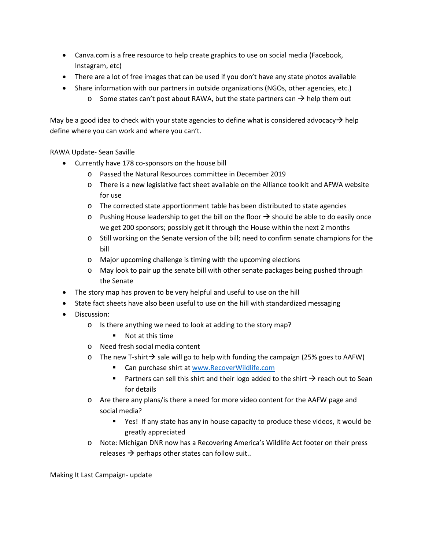- Canva.com is a free resource to help create graphics to use on social media (Facebook, Instagram, etc)
- There are a lot of free images that can be used if you don't have any state photos available
- Share information with our partners in outside organizations (NGOs, other agencies, etc.)
	- $\circ$  Some states can't post about RAWA, but the state partners can  $\rightarrow$  help them out

May be a good idea to check with your state agencies to define what is considered advocacy  $\rightarrow$  help define where you can work and where you can't.

RAWA Update- Sean Saville

- Currently have 178 co-sponsors on the house bill
	- o Passed the Natural Resources committee in December 2019
	- o There is a new legislative fact sheet available on the Alliance toolkit and AFWA website for use
	- o The corrected state apportionment table has been distributed to state agencies
	- $\circ$  Pushing House leadership to get the bill on the floor  $\rightarrow$  should be able to do easily once we get 200 sponsors; possibly get it through the House within the next 2 months
	- o Still working on the Senate version of the bill; need to confirm senate champions for the bill
	- o Major upcoming challenge is timing with the upcoming elections
	- o May look to pair up the senate bill with other senate packages being pushed through the Senate
- The story map has proven to be very helpful and useful to use on the hill
- State fact sheets have also been useful to use on the hill with standardized messaging
- Discussion:
	- o Is there anything we need to look at adding to the story map?
		- Not at this time
	- o Need fresh social media content
	- $\circ$  The new T-shirt  $\rightarrow$  sale will go to help with funding the campaign (25% goes to AAFW)
		- Can purchase shirt at [www.RecoverWildlife.com](http://www.recoverwildlife.com/)
		- **Partners can sell this shirt and their logo added to the shirt**  $\rightarrow$  **reach out to Sean** for details
	- o Are there any plans/is there a need for more video content for the AAFW page and social media?
		- Yes! If any state has any in house capacity to produce these videos, it would be greatly appreciated
	- o Note: Michigan DNR now has a Recovering America's Wildlife Act footer on their press releases  $\rightarrow$  perhaps other states can follow suit..

Making It Last Campaign- update